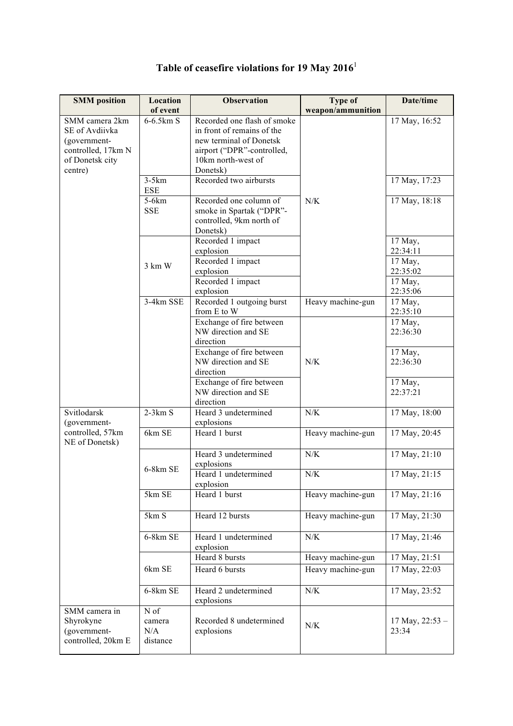| <b>SMM</b> position | Location   | <b>Observation</b>          | <b>Type of</b>    | Date/time         |
|---------------------|------------|-----------------------------|-------------------|-------------------|
|                     | of event   |                             | weapon/ammunition |                   |
| SMM camera 2km      | 6-6.5km S  | Recorded one flash of smoke |                   | 17 May, 16:52     |
| SE of Avdiivka      |            | in front of remains of the  |                   |                   |
| (government-        |            | new terminal of Donetsk     |                   |                   |
| controlled, 17km N  |            | airport ("DPR"-controlled,  |                   |                   |
| of Donetsk city     |            | 10km north-west of          |                   |                   |
| centre)             |            | Donetsk)                    |                   |                   |
|                     | $3-5km$    | Recorded two airbursts      |                   | 17 May, 17:23     |
|                     | <b>ESE</b> |                             |                   |                   |
|                     | $5-6km$    | Recorded one column of      | N/K               | 17 May, 18:18     |
|                     | <b>SSE</b> | smoke in Spartak ("DPR"-    |                   |                   |
|                     |            | controlled, 9km north of    |                   |                   |
|                     |            | Donetsk)                    |                   |                   |
|                     |            | Recorded 1 impact           |                   | 17 May,           |
|                     |            | explosion                   |                   | 22:34:11          |
|                     | 3 km W     | Recorded 1 impact           |                   | 17 May,           |
|                     |            | explosion                   |                   | 22:35:02          |
|                     |            | Recorded 1 impact           |                   | 17 May,           |
|                     |            | explosion                   |                   | 22:35:06          |
|                     | 3-4km SSE  | Recorded 1 outgoing burst   | Heavy machine-gun | 17 May,           |
|                     |            | from E to W                 |                   | 22:35:10          |
|                     |            | Exchange of fire between    |                   | 17 May,           |
|                     |            | NW direction and SE         |                   | 22:36:30          |
|                     |            | direction                   |                   |                   |
|                     |            | Exchange of fire between    |                   | 17 May,           |
|                     |            | NW direction and SE         | N/K               | 22:36:30          |
|                     |            | direction                   |                   |                   |
|                     |            | Exchange of fire between    |                   | 17 May,           |
|                     |            | NW direction and SE         |                   | 22:37:21          |
|                     |            | direction                   |                   |                   |
| Svitlodarsk         | $2-3km S$  | Heard 3 undetermined        | ${\rm N/K}$       | 17 May, 18:00     |
| (government-        |            | explosions                  |                   |                   |
| controlled, 57km    | 6km SE     | Heard 1 burst               | Heavy machine-gun | 17 May, 20:45     |
| NE of Donetsk)      |            |                             |                   |                   |
|                     |            | Heard 3 undetermined        | N/K               | 17 May, 21:10     |
|                     | 6-8km SE   | explosions                  |                   |                   |
|                     |            | Heard 1 undetermined        | N/K               | 17 May, 21:15     |
|                     |            | explosion                   |                   |                   |
|                     | 5km SE     | Heard 1 burst               | Heavy machine-gun | 17 May, 21:16     |
|                     |            |                             |                   |                   |
|                     | 5km S      | Heard 12 bursts             | Heavy machine-gun | 17 May, 21:30     |
|                     |            |                             |                   |                   |
|                     | 6-8km SE   | Heard 1 undetermined        | ${\rm N/K}$       | 17 May, 21:46     |
|                     |            | explosion                   |                   |                   |
|                     |            | Heard 8 bursts              | Heavy machine-gun | 17 May, 21:51     |
|                     | 6km SE     | Heard 6 bursts              | Heavy machine-gun | 17 May, 22:03     |
|                     |            |                             |                   |                   |
|                     | 6-8km SE   | Heard 2 undetermined        | N/K               | 17 May, 23:52     |
|                     |            | explosions                  |                   |                   |
| SMM camera in       | N of       |                             |                   |                   |
| Shyrokyne           | camera     | Recorded 8 undetermined     |                   | 17 May, $22:53 -$ |
| (government-        | N/A        | explosions                  | N/K               | 23:34             |
| controlled, 20km E  | distance   |                             |                   |                   |
|                     |            |                             |                   |                   |

## **Table of ceasefire violations for 19 May 2016**<sup>1</sup>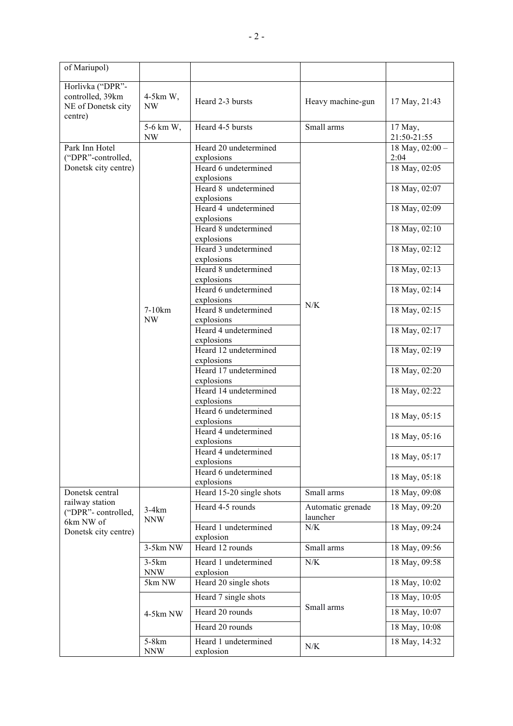| of Mariupol)                                                                                  |                                 |                                                                                                                                                                                                                                                                                                                                                                                                                                                                                                                                                                                                                                                                        |                               |                                                                                                                                                                                                                                                                                                           |
|-----------------------------------------------------------------------------------------------|---------------------------------|------------------------------------------------------------------------------------------------------------------------------------------------------------------------------------------------------------------------------------------------------------------------------------------------------------------------------------------------------------------------------------------------------------------------------------------------------------------------------------------------------------------------------------------------------------------------------------------------------------------------------------------------------------------------|-------------------------------|-----------------------------------------------------------------------------------------------------------------------------------------------------------------------------------------------------------------------------------------------------------------------------------------------------------|
| Horlivka ("DPR"-<br>controlled, 39km<br>NE of Donetsk city<br>centre)                         | $4-5km$ W,<br>NW                | Heard 2-3 bursts                                                                                                                                                                                                                                                                                                                                                                                                                                                                                                                                                                                                                                                       | Heavy machine-gun             | 17 May, 21:43                                                                                                                                                                                                                                                                                             |
|                                                                                               | 5-6 km W,<br>NW                 | Heard 4-5 bursts                                                                                                                                                                                                                                                                                                                                                                                                                                                                                                                                                                                                                                                       | Small arms                    | 17 May,<br>21:50-21:55                                                                                                                                                                                                                                                                                    |
| Park Inn Hotel<br>("DPR"-controlled,<br>Donetsk city centre)                                  | $7-10km$<br>NW                  | Heard 20 undetermined<br>explosions<br>Heard 6 undetermined<br>explosions<br>Heard 8 undetermined<br>explosions<br>Heard 4 undetermined<br>explosions<br>Heard 8 undetermined<br>explosions<br>Heard 3 undetermined<br>explosions<br>Heard 8 undetermined<br>explosions<br>Heard 6 undetermined<br>explosions<br>Heard 8 undetermined<br>explosions<br>Heard 4 undetermined<br>explosions<br>Heard 12 undetermined<br>explosions<br>Heard 17 undetermined<br>explosions<br>Heard 14 undetermined<br>explosions<br>Heard 6 undetermined<br>explosions<br>Heard 4 undetermined<br>explosions<br>Heard 4 undetermined<br>explosions<br>Heard 6 undetermined<br>explosions | N/K                           | 18 May, $02:00 -$<br>2:04<br>18 May, 02:05<br>18 May, 02:07<br>18 May, 02:09<br>18 May, 02:10<br>18 May, 02:12<br>18 May, 02:13<br>18 May, 02:14<br>18 May, 02:15<br>18 May, 02:17<br>18 May, 02:19<br>18 May, 02:20<br>18 May, 02:22<br>18 May, 05:15<br>18 May, 05:16<br>18 May, 05:17<br>18 May, 05:18 |
| Donetsk central<br>railway station<br>("DPR"-controlled,<br>6km NW of<br>Donetsk city centre) | $3-4km$<br><b>NNW</b>           | Heard 15-20 single shots                                                                                                                                                                                                                                                                                                                                                                                                                                                                                                                                                                                                                                               | Small arms                    | 18 May, 09:08                                                                                                                                                                                                                                                                                             |
|                                                                                               |                                 | Heard 4-5 rounds                                                                                                                                                                                                                                                                                                                                                                                                                                                                                                                                                                                                                                                       | Automatic grenade<br>launcher | 18 May, 09:20                                                                                                                                                                                                                                                                                             |
|                                                                                               |                                 | Heard 1 undetermined<br>explosion                                                                                                                                                                                                                                                                                                                                                                                                                                                                                                                                                                                                                                      | N/K                           | 18 May, 09:24                                                                                                                                                                                                                                                                                             |
|                                                                                               | 3-5km NW                        | Heard 12 rounds                                                                                                                                                                                                                                                                                                                                                                                                                                                                                                                                                                                                                                                        | Small arms                    | 18 May, 09:56                                                                                                                                                                                                                                                                                             |
|                                                                                               | $3-5km$<br><b>NNW</b>           | Heard 1 undetermined<br>explosion                                                                                                                                                                                                                                                                                                                                                                                                                                                                                                                                                                                                                                      | ${\rm N/K}$                   | 18 May, 09:58                                                                                                                                                                                                                                                                                             |
|                                                                                               | 5km NW                          | Heard 20 single shots                                                                                                                                                                                                                                                                                                                                                                                                                                                                                                                                                                                                                                                  |                               | 18 May, 10:02                                                                                                                                                                                                                                                                                             |
|                                                                                               |                                 | Heard 7 single shots                                                                                                                                                                                                                                                                                                                                                                                                                                                                                                                                                                                                                                                   |                               | 18 May, 10:05                                                                                                                                                                                                                                                                                             |
|                                                                                               | 4-5km NW                        | Heard 20 rounds                                                                                                                                                                                                                                                                                                                                                                                                                                                                                                                                                                                                                                                        | Small arms                    | 18 May, 10:07                                                                                                                                                                                                                                                                                             |
|                                                                                               |                                 | Heard 20 rounds                                                                                                                                                                                                                                                                                                                                                                                                                                                                                                                                                                                                                                                        |                               | 18 May, 10:08                                                                                                                                                                                                                                                                                             |
|                                                                                               | 5-8 <sub>km</sub><br><b>NNW</b> | Heard 1 undetermined<br>explosion                                                                                                                                                                                                                                                                                                                                                                                                                                                                                                                                                                                                                                      | N/K                           | 18 May, 14:32                                                                                                                                                                                                                                                                                             |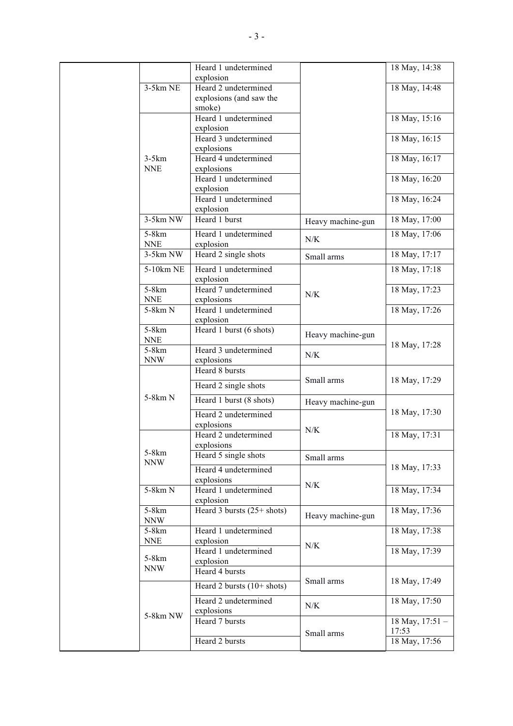|  |                     | Heard 1 undetermined         |                   | 18 May, 14:38   |
|--|---------------------|------------------------------|-------------------|-----------------|
|  |                     | explosion                    |                   |                 |
|  | $3-5km$ NE          | Heard 2 undetermined         |                   | 18 May, 14:48   |
|  |                     | explosions (and saw the      |                   |                 |
|  |                     | smoke)                       |                   |                 |
|  |                     | Heard 1 undetermined         |                   | 18 May, 15:16   |
|  |                     | explosion                    |                   |                 |
|  |                     | Heard 3 undetermined         |                   | 18 May, 16:15   |
|  |                     | explosions                   |                   |                 |
|  | $3-5km$             | Heard 4 undetermined         |                   | 18 May, 16:17   |
|  | <b>NNE</b>          | explosions                   |                   |                 |
|  |                     | Heard 1 undetermined         |                   | 18 May, 16:20   |
|  |                     | explosion                    |                   |                 |
|  |                     | Heard 1 undetermined         |                   | 18 May, 16:24   |
|  |                     | explosion                    |                   |                 |
|  | 3-5km NW            | Heard 1 burst                | Heavy machine-gun | 18 May, 17:00   |
|  | 5-8km               | Heard 1 undetermined         |                   | 18 May, 17:06   |
|  | <b>NNE</b>          | explosion                    | N/K               |                 |
|  | $3-5km$ NW          | Heard 2 single shots         | Small arms        | 18 May, 17:17   |
|  |                     |                              |                   |                 |
|  | 5-10km NE           | Heard 1 undetermined         |                   | 18 May, 17:18   |
|  |                     | explosion                    |                   |                 |
|  | $5-8km$             | Heard 7 undetermined         | N/K               | 18 May, 17:23   |
|  | <b>NNE</b>          | explosions                   |                   |                 |
|  | 5-8km N             | Heard 1 undetermined         |                   | 18 May, 17:26   |
|  |                     | explosion                    |                   |                 |
|  | 5-8km               | Heard 1 burst (6 shots)      | Heavy machine-gun |                 |
|  | <b>NNE</b>          |                              |                   | 18 May, 17:28   |
|  | 5-8km               | Heard 3 undetermined         | N/K               |                 |
|  | <b>NNW</b>          | explosions                   |                   |                 |
|  | 5-8km N             | Heard 8 bursts               | Small arms        | 18 May, 17:29   |
|  |                     | Heard 2 single shots         |                   |                 |
|  |                     | Heard 1 burst (8 shots)      | Heavy machine-gun |                 |
|  |                     |                              |                   | 18 May, 17:30   |
|  |                     | Heard 2 undetermined         |                   |                 |
|  |                     | explosions                   | N/K               |                 |
|  |                     | Heard 2 undetermined         |                   | 18 May, 17:31   |
|  | 5-8km               | explosions                   |                   |                 |
|  | <b>NNW</b>          | Heard 5 single shots         | Small arms        |                 |
|  |                     | Heard 4 undetermined         |                   | 18 May, 17:33   |
|  |                     | explosions                   |                   |                 |
|  | 5-8km N             | Heard 1 undetermined         | N/K               | 18 May, 17:34   |
|  |                     | explosion                    |                   |                 |
|  | 5-8km               | Heard 3 bursts $(25+$ shots) |                   | 18 May, 17:36   |
|  | <b>NNW</b>          |                              | Heavy machine-gun |                 |
|  | 5-8km               | Heard 1 undetermined         |                   | 18 May, 17:38   |
|  | <b>NNE</b>          | explosion                    |                   |                 |
|  |                     | Heard 1 undetermined         | N/K               | 18 May, 17:39   |
|  | 5-8km<br><b>NNW</b> | explosion                    |                   |                 |
|  |                     | Heard 4 bursts               |                   |                 |
|  | 5-8km NW            | Heard 2 bursts $(10+$ shots) | Small arms        | 18 May, 17:49   |
|  |                     |                              |                   |                 |
|  |                     | Heard 2 undetermined         | N/K               | 18 May, 17:50   |
|  |                     | explosions                   |                   |                 |
|  |                     | Heard 7 bursts               | Small arms        | 18 May, 17:51 - |
|  |                     |                              |                   | 17:53           |
|  |                     | Heard 2 bursts               |                   | 18 May, 17:56   |
|  |                     |                              |                   |                 |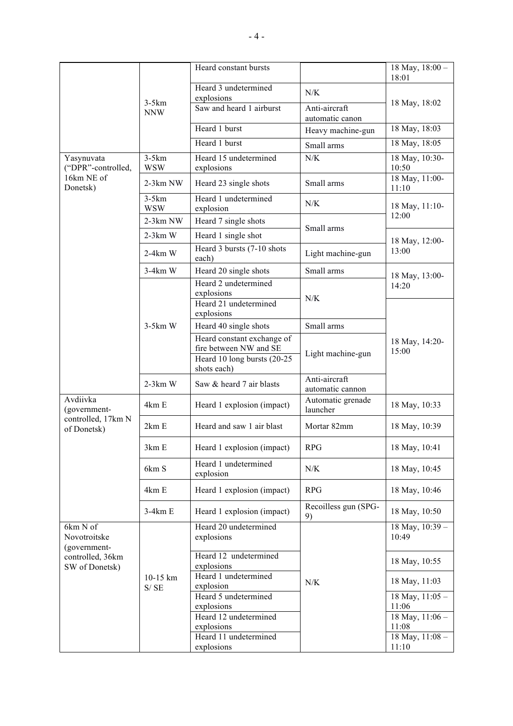|                                                                                |                       | Heard constant bursts                                |                                   | 18 May, $18:00 -$<br>18:01   |
|--------------------------------------------------------------------------------|-----------------------|------------------------------------------------------|-----------------------------------|------------------------------|
|                                                                                | $3-5km$<br><b>NNW</b> | Heard 3 undetermined                                 | N/K                               | 18 May, 18:02                |
|                                                                                |                       | explosions<br>Saw and heard 1 airburst               | Anti-aircraft<br>automatic canon  |                              |
|                                                                                |                       | Heard 1 burst                                        | Heavy machine-gun                 | 18 May, 18:03                |
|                                                                                |                       | Heard 1 burst                                        | Small arms                        | 18 May, 18:05                |
| Yasynuvata<br>("DPR"-controlled,                                               | $3-5km$<br><b>WSW</b> | Heard 15 undetermined<br>explosions                  | N/K                               | 18 May, 10:30-<br>10:50      |
| 16km NE of<br>Donetsk)                                                         | 2-3km NW              | Heard 23 single shots                                | Small arms                        | 18 May, 11:00-<br>11:10      |
|                                                                                | $3-5km$<br><b>WSW</b> | Heard 1 undetermined<br>explosion                    | N/K                               | 18 May, 11:10-               |
|                                                                                | $2-3km$ NW            | Heard 7 single shots                                 | Small arms                        | 12:00                        |
|                                                                                | $2-3km$ W             | Heard 1 single shot                                  |                                   | 18 May, 12:00-               |
|                                                                                | $2-4km$ W             | Heard 3 bursts (7-10 shots<br>each)                  | Light machine-gun                 | 13:00                        |
|                                                                                | $3-4km$ W             | Heard 20 single shots                                | Small arms                        | 18 May, 13:00-               |
|                                                                                |                       | Heard 2 undetermined<br>explosions                   | N/K                               | 14:20                        |
|                                                                                |                       | Heard 21 undetermined<br>explosions                  |                                   |                              |
|                                                                                | $3-5km$ W             | Heard 40 single shots                                | Small arms                        | 18 May, 14:20-<br>15:00      |
|                                                                                |                       | Heard constant exchange of<br>fire between NW and SE | Light machine-gun                 |                              |
|                                                                                |                       | Heard 10 long bursts (20-25<br>shots each)           |                                   |                              |
|                                                                                | $2-3km$ W             | Saw & heard 7 air blasts                             | Anti-aircraft<br>automatic cannon |                              |
| Avdiivka<br>(government-<br>controlled, 17km N<br>of Donetsk)                  | 4km E                 | Heard 1 explosion (impact)                           | Automatic grenade<br>launcher     | 18 May, 10:33                |
|                                                                                | 2km E                 | Heard and saw 1 air blast                            | Mortar 82mm                       | 18 May, 10:39                |
|                                                                                | 3km E                 | Heard 1 explosion (impact)                           | <b>RPG</b>                        | 18 May, 10:41                |
|                                                                                | 6km S                 | Heard 1 undetermined<br>explosion                    | N/K                               | 18 May, 10:45                |
|                                                                                | 4km E                 | Heard 1 explosion (impact)                           | <b>RPG</b>                        | 18 May, 10:46                |
|                                                                                | $3-4km E$             | Heard 1 explosion (impact)                           | Recoilless gun (SPG-<br>9)        | 18 May, 10:50                |
| 6km N of<br>Novotroitske<br>(government-<br>controlled, 36km<br>SW of Donetsk) | 10-15 km<br>S/SE      | Heard 20 undetermined<br>explosions                  | ${\rm N/K}$                       | 18 May, 10:39 -<br>10:49     |
|                                                                                |                       | Heard 12 undetermined<br>explosions                  |                                   | 18 May, 10:55                |
|                                                                                |                       | Heard 1 undetermined<br>explosion                    |                                   | 18 May, 11:03                |
|                                                                                |                       | Heard 5 undetermined                                 |                                   | 18 May, $11:05 -$            |
|                                                                                |                       | explosions<br>Heard 12 undetermined                  |                                   | 11:06<br>18 May, 11:06 -     |
|                                                                                |                       | explosions                                           |                                   | 11:08                        |
|                                                                                |                       | Heard 11 undetermined<br>explosions                  |                                   | $18$ May, $11:08 -$<br>11:10 |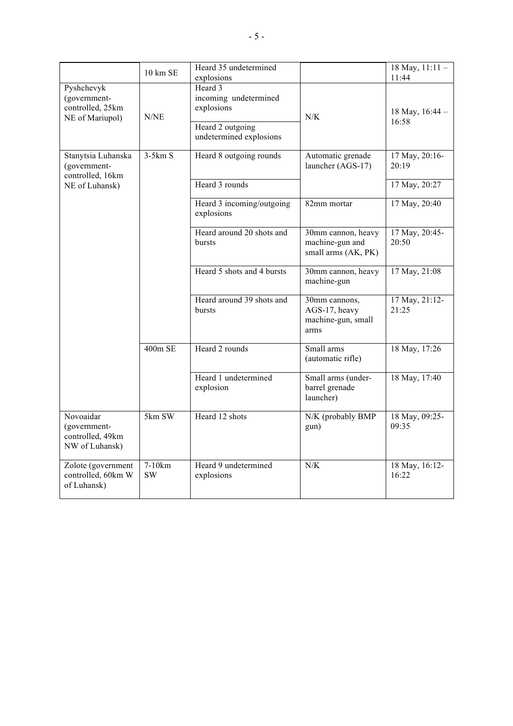|                                                                   | 10 km SE            | Heard 35 undetermined<br>explosions                                                           |                                                              | 18 May, $11:11 -$<br>11:44 |
|-------------------------------------------------------------------|---------------------|-----------------------------------------------------------------------------------------------|--------------------------------------------------------------|----------------------------|
| Pyshchevyk<br>(government-<br>controlled, 25km<br>NE of Mariupol) | N/NE                | Heard 3<br>incoming undetermined<br>explosions<br>Heard 2 outgoing<br>undetermined explosions | N/K                                                          | 18 May, 16:44 -<br>16:58   |
| Stanytsia Luhanska<br>(government-<br>controlled, 16km            | $3-5km S$           | Heard 8 outgoing rounds                                                                       | Automatic grenade<br>launcher (AGS-17)                       | 17 May, 20:16-<br>20:19    |
| NE of Luhansk)                                                    |                     | Heard 3 rounds                                                                                |                                                              | 17 May, 20:27              |
|                                                                   |                     | Heard 3 incoming/outgoing<br>explosions                                                       | 82mm mortar                                                  | 17 May, 20:40              |
|                                                                   |                     | Heard around 20 shots and<br>bursts                                                           | 30mm cannon, heavy<br>machine-gun and<br>small arms (AK, PK) | 17 May, 20:45-<br>20:50    |
|                                                                   |                     | Heard 5 shots and 4 bursts                                                                    | 30mm cannon, heavy<br>machine-gun                            | 17 May, 21:08              |
|                                                                   |                     | Heard around 39 shots and<br>bursts                                                           | 30mm cannons,<br>AGS-17, heavy<br>machine-gun, small<br>arms | 17 May, 21:12-<br>21:25    |
|                                                                   | 400m SE             | Heard 2 rounds                                                                                | Small arms<br>(automatic rifle)                              | 18 May, 17:26              |
|                                                                   |                     | Heard 1 undetermined<br>explosion                                                             | Small arms (under-<br>barrel grenade<br>launcher)            | 18 May, 17:40              |
| Novoaidar<br>(government-<br>controlled, 49km<br>NW of Luhansk)   | 5km SW              | Heard 12 shots                                                                                | N/K (probably BMP<br>gun)                                    | 18 May, 09:25-<br>09:35    |
| Zolote (government<br>controlled, 60km W<br>of Luhansk)           | 7-10km<br><b>SW</b> | Heard 9 undetermined<br>explosions                                                            | N/K                                                          | 18 May, 16:12-<br>16:22    |